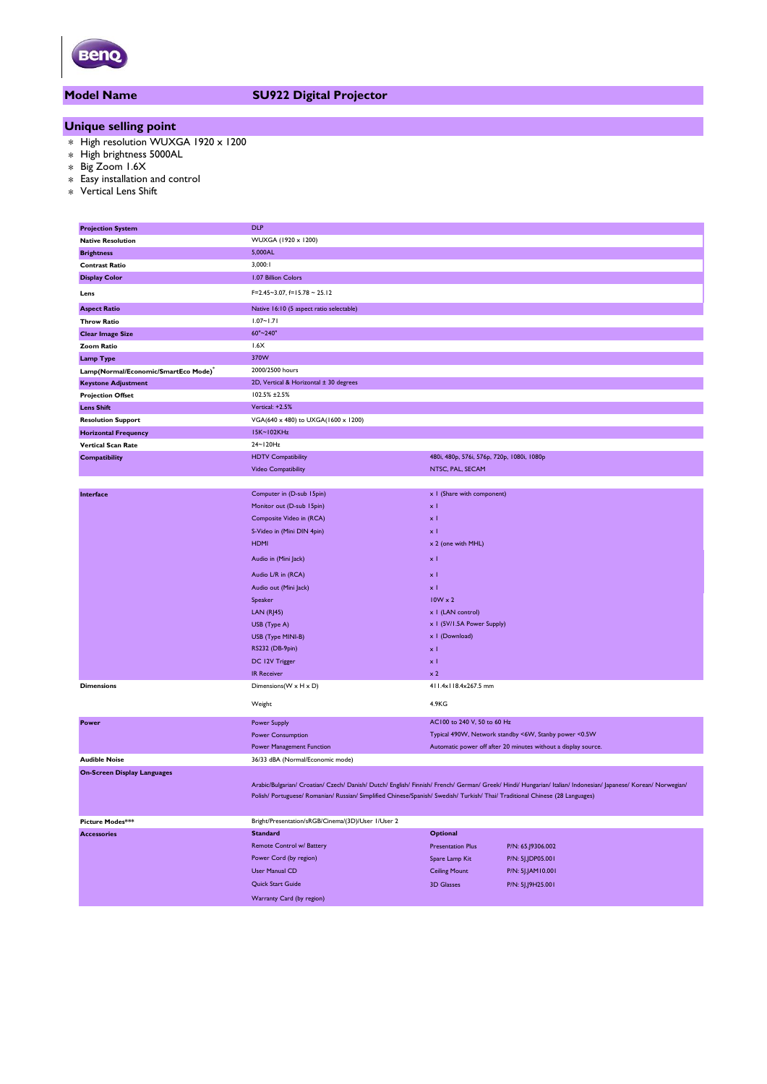

# **Model Name SU922 Digital Projector**

# **Unique selling point**

- \* High resolution WUXGA 1920 x 1200
- \* High brightness 5000AL
- \* Big Zoom 1.6X
- \* Easy installation and control
- \* Vertical Lens Shift

| <b>Projection System</b>             | <b>DLP</b>                                                                                                                    |                                                       |                                                                                                                                                                |  |
|--------------------------------------|-------------------------------------------------------------------------------------------------------------------------------|-------------------------------------------------------|----------------------------------------------------------------------------------------------------------------------------------------------------------------|--|
| <b>Native Resolution</b>             | WUXGA (1920 x 1200)                                                                                                           |                                                       |                                                                                                                                                                |  |
| <b>Brightness</b>                    | 5,000AL                                                                                                                       |                                                       |                                                                                                                                                                |  |
| <b>Contrast Ratio</b>                | 3,000:1                                                                                                                       |                                                       |                                                                                                                                                                |  |
| <b>Display Color</b>                 | 1.07 Billion Colors                                                                                                           |                                                       |                                                                                                                                                                |  |
| Lens                                 | $F=2.45-3.07$ , $f=15.78-25.12$                                                                                               |                                                       |                                                                                                                                                                |  |
| <b>Aspect Ratio</b>                  | Native 16:10 (5 aspect ratio selectable)                                                                                      |                                                       |                                                                                                                                                                |  |
| <b>Throw Ratio</b>                   | $1.07 - 1.71$                                                                                                                 |                                                       |                                                                                                                                                                |  |
| <b>Clear Image Size</b>              | 60"~240"                                                                                                                      |                                                       |                                                                                                                                                                |  |
| <b>Zoom Ratio</b>                    | 1.6X                                                                                                                          |                                                       |                                                                                                                                                                |  |
| <b>Lamp Type</b>                     | 370W                                                                                                                          |                                                       |                                                                                                                                                                |  |
| Lamp(Normal/Economic/SmartEco Mode)* | 2000/2500 hours                                                                                                               |                                                       |                                                                                                                                                                |  |
| <b>Keystone Adjustment</b>           | 2D, Vertical & Horizontal ± 30 degrees                                                                                        |                                                       |                                                                                                                                                                |  |
| <b>Projection Offset</b>             | 102.5% ±2.5%                                                                                                                  |                                                       |                                                                                                                                                                |  |
| <b>Lens Shift</b>                    | Vertical: +2.5%                                                                                                               |                                                       |                                                                                                                                                                |  |
| <b>Resolution Support</b>            | VGA(640 x 480) to UXGA(1600 x 1200)                                                                                           |                                                       |                                                                                                                                                                |  |
| <b>Horizontal Frequency</b>          | 15K~102KHz                                                                                                                    |                                                       |                                                                                                                                                                |  |
| <b>Vertical Scan Rate</b>            | 24~120Hz                                                                                                                      |                                                       |                                                                                                                                                                |  |
| Compatibility                        | <b>HDTV Compatibility</b>                                                                                                     | 480i, 480p, 576i, 576p, 720p, 1080i, 1080p            |                                                                                                                                                                |  |
|                                      | Video Compatibility                                                                                                           | NTSC, PAL, SECAM                                      |                                                                                                                                                                |  |
|                                      |                                                                                                                               |                                                       |                                                                                                                                                                |  |
| Interface                            | Computer in (D-sub 15pin)                                                                                                     | x I (Share with component)                            |                                                                                                                                                                |  |
|                                      | Monitor out (D-sub 15pin)                                                                                                     | $\times$ 1                                            |                                                                                                                                                                |  |
|                                      | Composite Video in (RCA)                                                                                                      | $\times$ 1                                            |                                                                                                                                                                |  |
|                                      | S-Video in (Mini DIN 4pin)                                                                                                    | $\times$ 1                                            |                                                                                                                                                                |  |
|                                      | <b>HDMI</b>                                                                                                                   | x 2 (one with MHL)                                    |                                                                                                                                                                |  |
|                                      |                                                                                                                               |                                                       |                                                                                                                                                                |  |
|                                      | Audio in (Mini Jack)                                                                                                          | $\times$ 1                                            |                                                                                                                                                                |  |
|                                      | Audio L/R in (RCA)                                                                                                            | $\times$ 1                                            |                                                                                                                                                                |  |
|                                      | Audio out (Mini Jack)                                                                                                         | хI                                                    |                                                                                                                                                                |  |
|                                      | Speaker                                                                                                                       | $10W \times 2$                                        |                                                                                                                                                                |  |
|                                      | LAN(RJ45)                                                                                                                     | x   (LAN control)                                     |                                                                                                                                                                |  |
|                                      | USB (Type A)                                                                                                                  | x I (5V/I.5A Power Supply)                            |                                                                                                                                                                |  |
|                                      | USB (Type MINI-B)                                                                                                             | x I (Download)                                        |                                                                                                                                                                |  |
|                                      | RS232 (DB-9pin)                                                                                                               | $\times$ 1                                            |                                                                                                                                                                |  |
|                                      | DC 12V Trigger                                                                                                                | $\times$ 1                                            |                                                                                                                                                                |  |
|                                      | <b>IR Receiver</b>                                                                                                            | $\times 2$                                            |                                                                                                                                                                |  |
| <b>Dimensions</b>                    | Dimensions (W x H x D)                                                                                                        | 411.4x118.4x267.5 mm                                  |                                                                                                                                                                |  |
|                                      | Weight                                                                                                                        | 4.9KG                                                 |                                                                                                                                                                |  |
| Power                                | <b>Power Supply</b>                                                                                                           | AC100 to 240 V, 50 to 60 Hz                           |                                                                                                                                                                |  |
|                                      | <b>Power Consumption</b>                                                                                                      | Typical 490W, Network standby <6W, Stanby power <0.5W |                                                                                                                                                                |  |
|                                      | Power Management Function                                                                                                     |                                                       | Automatic power off after 20 minutes without a display source.                                                                                                 |  |
| <b>Audible Noise</b>                 | 36/33 dBA (Normal/Economic mode)                                                                                              |                                                       |                                                                                                                                                                |  |
| <b>On-Screen Display Languages</b>   |                                                                                                                               |                                                       |                                                                                                                                                                |  |
|                                      |                                                                                                                               |                                                       | Arabic/Bulgarian/ Croatian/ Czech/ Danish/ Dutch/ English/ Finnish/ French/ German/ Greek/ Hindi/ Hungarian/ Italian/ Indonesian/ Japanese/ Korean/ Norwegian/ |  |
|                                      | Polish/ Portuguese/ Romanian/ Russian/ Simplified Chinese/Spanish/ Swedish/ Turkish/ Thai/ Traditional Chinese (28 Languages) |                                                       |                                                                                                                                                                |  |
|                                      |                                                                                                                               |                                                       |                                                                                                                                                                |  |
| Picture Modes***                     | Bright/Presentation/sRGB/Cinema/(3D)/User 1/User 2                                                                            |                                                       |                                                                                                                                                                |  |
| <b>Accessories</b>                   | <b>Standard</b>                                                                                                               | <b>Optional</b>                                       |                                                                                                                                                                |  |
|                                      | Remote Control w/ Battery                                                                                                     | <b>Presentation Plus</b>                              | P/N: 65.J9306.002                                                                                                                                              |  |
|                                      | Power Cord (by region)                                                                                                        |                                                       | P/N: 5J.JDP05.001                                                                                                                                              |  |
|                                      | User Manual CD                                                                                                                | Spare Lamp Kit                                        |                                                                                                                                                                |  |
|                                      |                                                                                                                               | <b>Ceiling Mount</b>                                  | P/N: 5J.JAM10.001                                                                                                                                              |  |
|                                      | Quick Start Guide                                                                                                             | <b>3D Glasses</b>                                     | P/N: 5J.J9H25.001                                                                                                                                              |  |
|                                      | Warranty Card (by region)                                                                                                     |                                                       |                                                                                                                                                                |  |